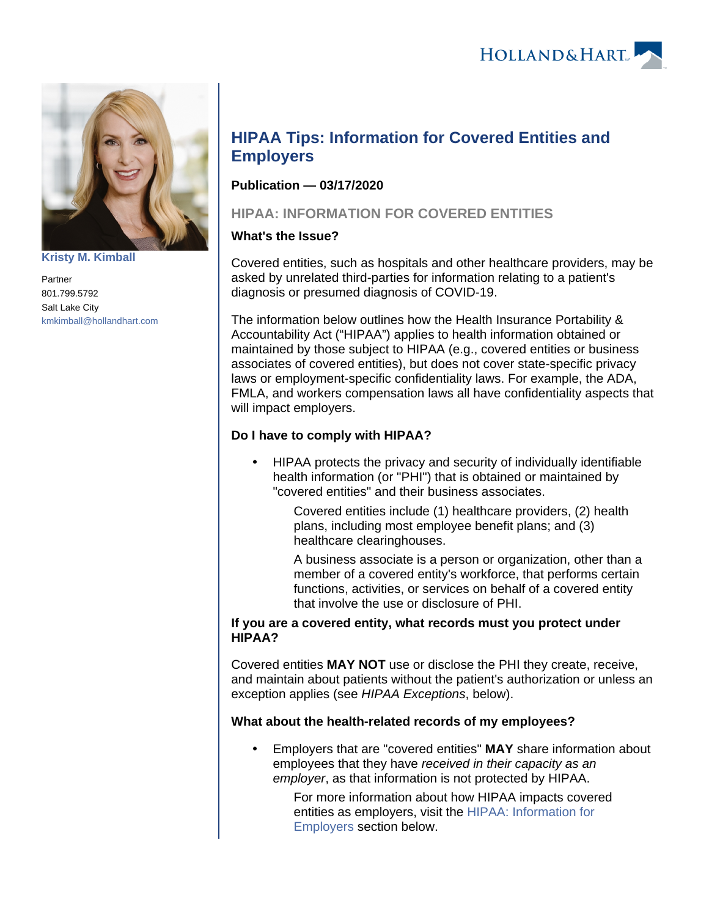HOLLAND& HART



**[Kristy M. Kimball](https://www.hollandhart.com/35820)**

Partner 801.799.5792 Salt Lake City [kmkimball@hollandhart.com](mailto:kmkimball@hollandhart.com)

# **HIPAA Tips: Information for Covered Entities and Employers**

## **Publication — 03/17/2020**

## <span id="page-0-0"></span>**HIPAA: INFORMATION FOR COVERED ENTITIES**

## **What's the Issue?**

Covered entities, such as hospitals and other healthcare providers, may be asked by unrelated third-parties for information relating to a patient's diagnosis or presumed diagnosis of COVID-19.

The information below outlines how the Health Insurance Portability & Accountability Act ("HIPAA") applies to health information obtained or maintained by those subject to HIPAA (e.g., covered entities or business associates of covered entities), but does not cover state-specific privacy laws or employment-specific confidentiality laws. For example, the ADA, FMLA, and workers compensation laws all have confidentiality aspects that will impact employers.

## **Do I have to comply with HIPAA?**

 HIPAA protects the privacy and security of individually identifiable health information (or "PHI") that is obtained or maintained by "covered entities" and their business associates.

> Covered entities include (1) healthcare providers, (2) health plans, including most employee benefit plans; and (3) healthcare clearinghouses.

A business associate is a person or organization, other than a member of a covered entity's workforce, that performs certain functions, activities, or services on behalf of a covered entity that involve the use or disclosure of PHI.

#### **If you are a covered entity, what records must you protect under HIPAA?**

Covered entities **MAY NOT** use or disclose the PHI they create, receive, and maintain about patients without the patient's authorization or unless an exception applies (see HIPAA Exceptions, below).

## **What about the health-related records of my employees?**

 Employers that are "covered entities" **MAY** share information about employees that they have received in their capacity as an employer, as that information is not protected by HIPAA.

> For more information about how HIPAA impacts covered entities as employers, visit the [HIPAA: Information for](#page-2-0)  [Employers](#page-2-0) section below.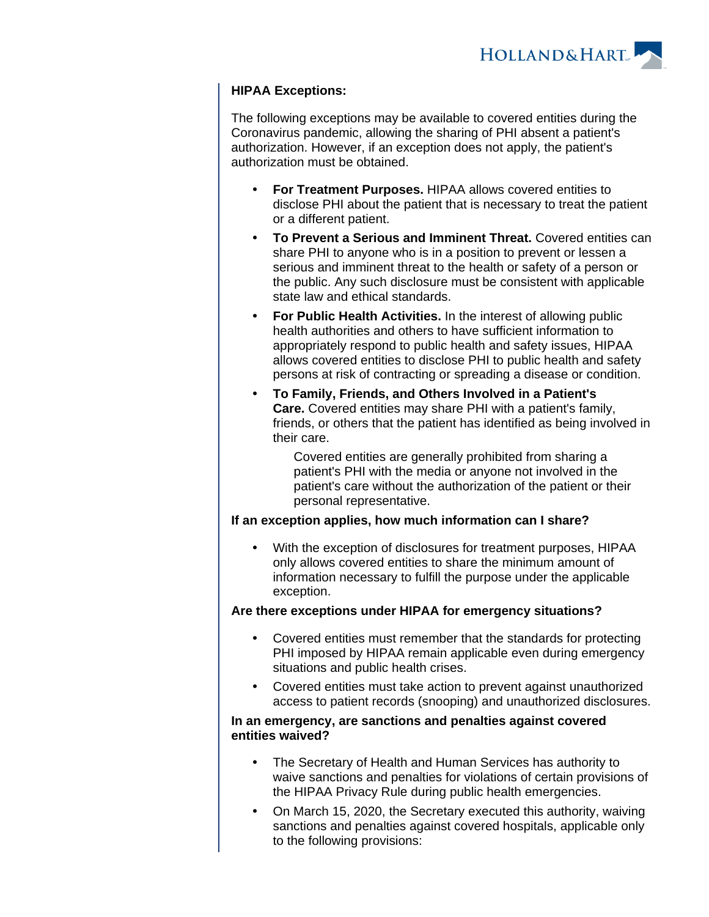HOLLAND& HART

### **HIPAA Exceptions:**

The following exceptions may be available to covered entities during the Coronavirus pandemic, allowing the sharing of PHI absent a patient's authorization. However, if an exception does not apply, the patient's authorization must be obtained.

- **For Treatment Purposes.** HIPAA allows covered entities to disclose PHI about the patient that is necessary to treat the patient or a different patient.
- **To Prevent a Serious and Imminent Threat.** Covered entities can share PHI to anyone who is in a position to prevent or lessen a serious and imminent threat to the health or safety of a person or the public. Any such disclosure must be consistent with applicable state law and ethical standards.
- **For Public Health Activities.** In the interest of allowing public health authorities and others to have sufficient information to appropriately respond to public health and safety issues, HIPAA allows covered entities to disclose PHI to public health and safety persons at risk of contracting or spreading a disease or condition.
- **To Family, Friends, and Others Involved in a Patient's Care.** Covered entities may share PHI with a patient's family, friends, or others that the patient has identified as being involved in their care.

Covered entities are generally prohibited from sharing a patient's PHI with the media or anyone not involved in the patient's care without the authorization of the patient or their personal representative.

#### **If an exception applies, how much information can I share?**

 With the exception of disclosures for treatment purposes, HIPAA only allows covered entities to share the minimum amount of information necessary to fulfill the purpose under the applicable exception.

#### **Are there exceptions under HIPAA for emergency situations?**

- Covered entities must remember that the standards for protecting PHI imposed by HIPAA remain applicable even during emergency situations and public health crises.
- Covered entities must take action to prevent against unauthorized access to patient records (snooping) and unauthorized disclosures.

#### **In an emergency, are sanctions and penalties against covered entities waived?**

- The Secretary of Health and Human Services has authority to waive sanctions and penalties for violations of certain provisions of the HIPAA Privacy Rule during public health emergencies.
- On March 15, 2020, the Secretary executed this authority, waiving sanctions and penalties against covered hospitals, applicable only to the following provisions: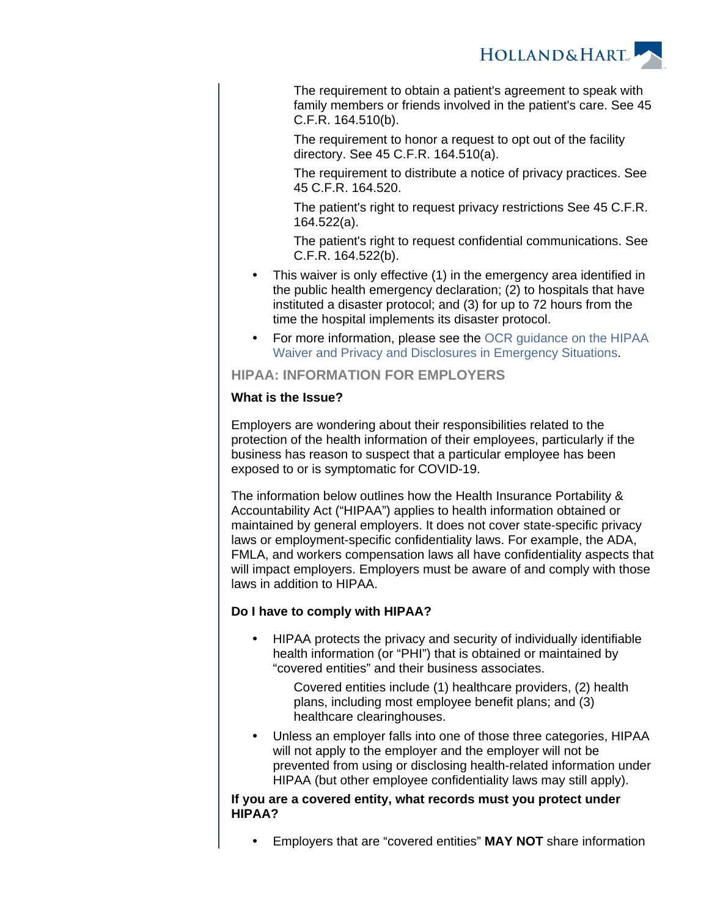

The requirement to obtain a patient's agreement to speak with family members or friends involved in the patient's care. See 45 C.F.R. 164.510(b).

The requirement to honor a request to opt out of the facility directory. See 45 C.F.R. 164.510(a).

The requirement to distribute a notice of privacy practices. See 45 C.F.R. 164.520.

The patient's right to request privacy restrictions See 45 C.F.R. 164.522(a).

The patient's right to request confidential communications. See C.F.R. 164.522(b).

- This waiver is only effective (1) in the emergency area identified in the public health emergency declaration; (2) to hospitals that have instituted a disaster protocol; and (3) for up to 72 hours from the time the hospital implements its disaster protocol.
- For more information, please see the [OCR guidance on the HIPAA](https://www.hhs.gov/sites/default/files/hipaa-and-covid-19-limited-hipaa-waiver-bulletin-508.pdf)  [Waiver and Privacy and Disclosures in Emergency Situations.](https://www.hhs.gov/sites/default/files/hipaa-and-covid-19-limited-hipaa-waiver-bulletin-508.pdf)

<span id="page-2-0"></span>**HIPAA: INFORMATION FOR EMPLOYERS**

#### **What is the Issue?**

Employers are wondering about their responsibilities related to the protection of the health information of their employees, particularly if the business has reason to suspect that a particular employee has been exposed to or is symptomatic for COVID-19.

The information below outlines how the Health Insurance Portability & Accountability Act ("HIPAA") applies to health information obtained or maintained by general employers. It does not cover state-specific privacy laws or employment-specific confidentiality laws. For example, the ADA, FMLA, and workers compensation laws all have confidentiality aspects that will impact employers. Employers must be aware of and comply with those laws in addition to HIPAA.

## **Do I have to comply with HIPAA?**

 HIPAA protects the privacy and security of individually identifiable health information (or "PHI") that is obtained or maintained by "covered entities" and their business associates.

Covered entities include (1) healthcare providers, (2) health plans, including most employee benefit plans; and (3) healthcare clearinghouses.

 Unless an employer falls into one of those three categories, HIPAA will not apply to the employer and the employer will not be prevented from using or disclosing health-related information under HIPAA (but other employee confidentiality laws may still apply).

#### **If you are a covered entity, what records must you protect under HIPAA?**

Employers that are "covered entities" **MAY NOT** share information